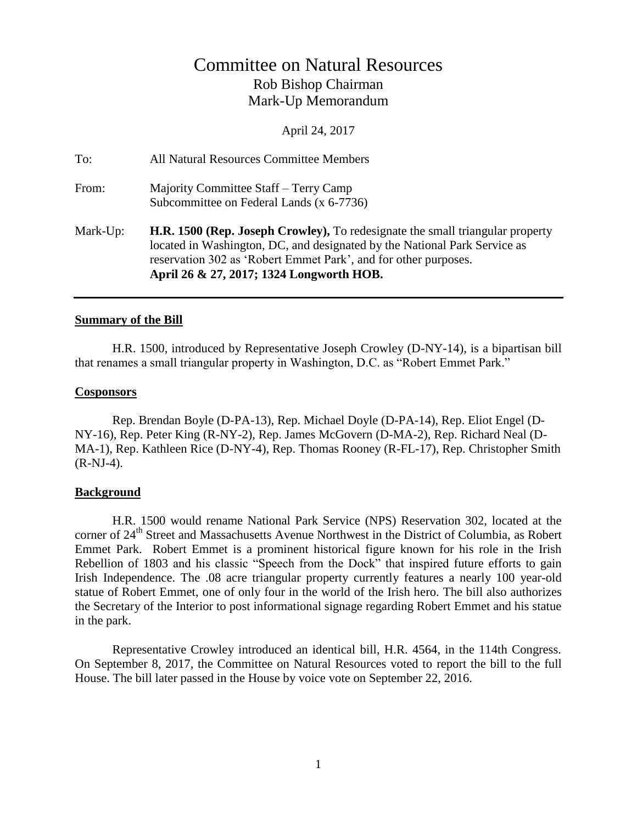# Committee on Natural Resources Rob Bishop Chairman Mark-Up Memorandum

April 24, 2017

| To:      | All Natural Resources Committee Members                                                                                                                                                                                                                                          |
|----------|----------------------------------------------------------------------------------------------------------------------------------------------------------------------------------------------------------------------------------------------------------------------------------|
| From:    | Majority Committee Staff - Terry Camp<br>Subcommittee on Federal Lands (x 6-7736)                                                                                                                                                                                                |
| Mark-Up: | <b>H.R. 1500 (Rep. Joseph Crowley),</b> To redesignate the small triangular property<br>located in Washington, DC, and designated by the National Park Service as<br>reservation 302 as 'Robert Emmet Park', and for other purposes.<br>April 26 & 27, 2017; 1324 Longworth HOB. |

#### **Summary of the Bill**

H.R. 1500, introduced by Representative Joseph Crowley (D-NY-14), is a bipartisan bill that renames a small triangular property in Washington, D.C. as "Robert Emmet Park."

#### **Cosponsors**

Rep. Brendan Boyle (D-PA-13), Rep. Michael Doyle (D-PA-14), Rep. Eliot Engel (D-NY-16), Rep. Peter King (R-NY-2), Rep. James McGovern (D-MA-2), Rep. Richard Neal (D-MA-1), Rep. Kathleen Rice (D-NY-4), Rep. Thomas Rooney (R-FL-17), Rep. Christopher Smith (R-NJ-4).

#### **Background**

H.R. 1500 would rename National Park Service (NPS) Reservation 302, located at the corner of 24<sup>th</sup> Street and Massachusetts Avenue Northwest in the District of Columbia, as Robert Emmet Park. Robert Emmet is a prominent historical figure known for his role in the Irish Rebellion of 1803 and his classic "Speech from the Dock" that inspired future efforts to gain Irish Independence. The .08 acre triangular property currently features a nearly 100 year-old statue of Robert Emmet, one of only four in the world of the Irish hero. The bill also authorizes the Secretary of the Interior to post informational signage regarding Robert Emmet and his statue in the park.

Representative Crowley introduced an identical bill, H.R. 4564, in the 114th Congress. On September 8, 2017, the Committee on Natural Resources voted to report the bill to the full House. The bill later passed in the House by voice vote on September 22, 2016.